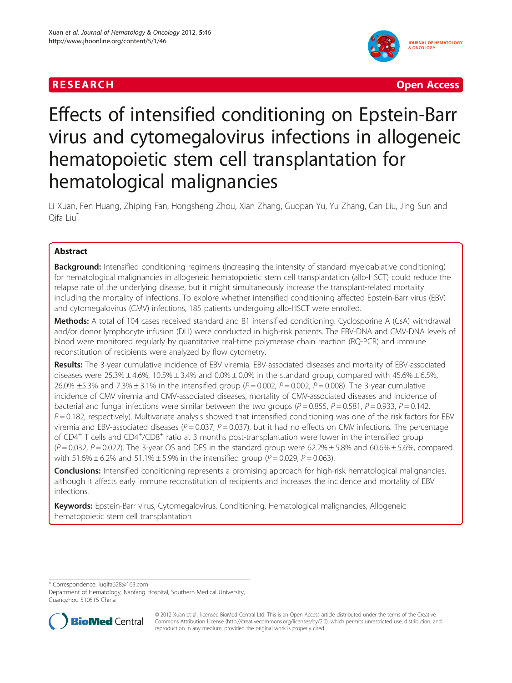## **RESEARCH CHINESE ARCH CHINESE ARCHITECT AND ACCESS AND LODGED ACCESS**



# Effects of intensified conditioning on Epstein-Barr virus and cytomegalovirus infections in allogeneic hematopoietic stem cell transplantation for hematological malignancies

Li Xuan, Fen Huang, Zhiping Fan, Hongsheng Zhou, Xian Zhang, Guopan Yu, Yu Zhang, Can Liu, Jing Sun and Qifa Liu\*

## Abstract

Background: Intensified conditioning regimens (increasing the intensity of standard myeloablative conditioning) for hematological malignancies in allogeneic hematopoietic stem cell transplantation (allo-HSCT) could reduce the relapse rate of the underlying disease, but it might simultaneously increase the transplant-related mortality including the mortality of infections. To explore whether intensified conditioning affected Epstein-Barr virus (EBV) and cytomegalovirus (CMV) infections, 185 patients undergoing allo-HSCT were enrolled.

Methods: A total of 104 cases received standard and 81 intensified conditioning. Cyclosporine A (CsA) withdrawal and/or donor lymphocyte infusion (DLI) were conducted in high-risk patients. The EBV-DNA and CMV-DNA levels of blood were monitored regularly by quantitative real-time polymerase chain reaction (RQ-PCR) and immune reconstitution of recipients were analyzed by flow cytometry.

Results: The 3-year cumulative incidence of EBV viremia, EBV-associated diseases and mortality of EBV-associated diseases were 25.3%  $\pm$  4.6%, 10.5%  $\pm$  3.4% and 0.0%  $\pm$  0.0% in the standard group, compared with 45.6%  $\pm$  6.5%, 26.0%  $\pm$ 5.3% and 7.3%  $\pm$  3.1% in the intensified group (P = 0.002, P = 0.002, P = 0.008). The 3-year cumulative incidence of CMV viremia and CMV-associated diseases, mortality of CMV-associated diseases and incidence of bacterial and fungal infections were similar between the two groups ( $P = 0.855$ ,  $P = 0.581$ ,  $P = 0.933$ ,  $P = 0.142$ ,  $P = 0.182$ , respectively). Multivariate analysis showed that intensified conditioning was one of the risk factors for EBV viremia and EBV-associated diseases ( $P = 0.037$ ,  $P = 0.037$ ), but it had no effects on CMV infections. The percentage of CD4<sup>+</sup> T cells and CD4<sup>+</sup>/CD8<sup>+</sup> ratio at 3 months post-transplantation were lower in the intensified group  $(P = 0.032, P = 0.022)$ . The 3-year OS and DFS in the standard group were 62.2% ± 5.8% and 60.6% ± 5.6%, compared with 51.6%  $\pm$  6.2% and 51.1%  $\pm$  5.9% in the intensified group (P = 0.029, P = 0.063).

**Conclusions:** Intensified conditioning represents a promising approach for high-risk hematological malignancies, although it affects early immune reconstitution of recipients and increases the incidence and mortality of EBV infections.

Keywords: Epstein-Barr virus, Cytomegalovirus, Conditioning, Hematological malignancies, Allogeneic hematopoietic stem cell transplantation

\* Correspondence: [iuqifa628@163.com](mailto:iuqifa628@163.com)

Department of Hematology, Nanfang Hospital, Southern Medical University, Guangzhou 510515 China



© 2012 Xuan et al.; licensee BioMed Central Ltd. This is an Open Access article distributed under the terms of the Creative Commons Attribution License [\(http://creativecommons.org/licenses/by/2.0\)](http://creativecommons.org/licenses/by/2.0), which permits unrestricted use, distribution, and reproduction in any medium, provided the original work is properly cited.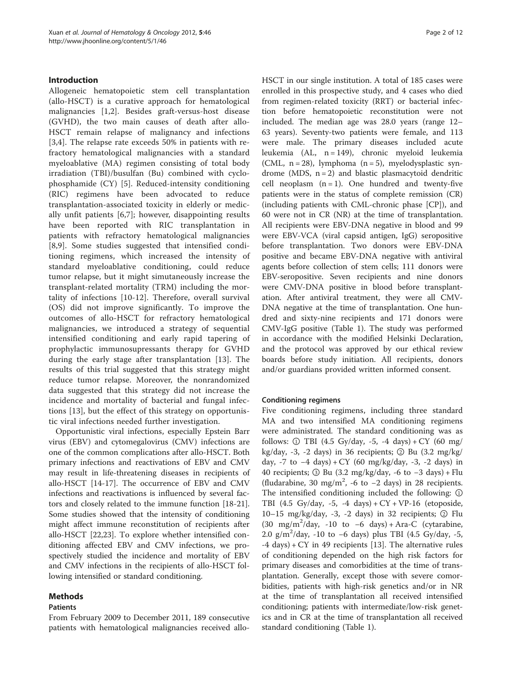#### Introduction

Allogeneic hematopoietic stem cell transplantation (allo-HSCT) is a curative approach for hematological malignancies [[1](#page-9-0)[,2](#page-10-0)]. Besides graft-versus-host disease (GVHD), the two main causes of death after allo-HSCT remain relapse of malignancy and infections [[3,4](#page-10-0)]. The relapse rate exceeds 50% in patients with refractory hematological malignancies with a standard myeloablative (MA) regimen consisting of total body irradiation (TBI)/busulfan (Bu) combined with cyclophosphamide (CY) [[5\]](#page-10-0). Reduced-intensity conditioning (RIC) regimens have been advocated to reduce transplantation-associated toxicity in elderly or medically unfit patients [[6,7\]](#page-10-0); however, disappointing results have been reported with RIC transplantation in patients with refractory hematological malignancies [[8,9](#page-10-0)]. Some studies suggested that intensified conditioning regimens, which increased the intensity of standard myeloablative conditioning, could reduce tumor relapse, but it might simutaneously increase the transplant-related mortality (TRM) including the mortality of infections [[10-12](#page-10-0)]. Therefore, overall survival (OS) did not improve significantly. To improve the outcomes of allo-HSCT for refractory hematological malignancies, we introduced a strategy of sequential intensified conditioning and early rapid tapering of prophylactic immunosupressants therapy for GVHD during the early stage after transplantation [[13\]](#page-10-0). The results of this trial suggested that this strategy might reduce tumor relapse. Moreover, the nonrandomized data suggested that this strategy did not increase the incidence and mortality of bacterial and fungal infections [[13\]](#page-10-0), but the effect of this strategy on opportunistic viral infections needed further investigation.

Opportunistic viral infections, especially Epstein Barr virus (EBV) and cytomegalovirus (CMV) infections are one of the common complications after allo-HSCT. Both primary infections and reactivations of EBV and CMV may result in life-threatening diseases in recipients of allo-HSCT [[14-17](#page-10-0)]. The occurrence of EBV and CMV infections and reactivations is influenced by several factors and closely related to the immune function [\[18-21](#page-10-0)]. Some studies showed that the intensity of conditioning might affect immune reconstitution of recipients after allo-HSCT [[22,23\]](#page-10-0). To explore whether intensified conditioning affected EBV and CMV infections, we prospectively studied the incidence and mortality of EBV and CMV infections in the recipients of allo-HSCT following intensified or standard conditioning.

#### Methods

#### Patients

From February 2009 to December 2011, 189 consecutive patients with hematological malignancies received alloHSCT in our single institution. A total of 185 cases were enrolled in this prospective study, and 4 cases who died from regimen-related toxicity (RRT) or bacterial infection before hematopoietic reconstitution were not included. The median age was 28.0 years (range 12– 63 years). Seventy-two patients were female, and 113 were male. The primary diseases included acute leukemia (AL, n = 149), chronic myeloid leukemia (CML,  $n = 28$ ), lymphoma  $(n = 5)$ , myelodysplastic syndrome (MDS,  $n = 2$ ) and blastic plasmacytoid dendritic cell neoplasm  $(n = 1)$ . One hundred and twenty-five patients were in the status of complete remission (CR) (including patients with CML-chronic phase [CP]), and 60 were not in CR (NR) at the time of transplantation. All recipients were EBV-DNA negative in blood and 99 were EBV-VCA (viral capsid antigen, IgG) seropositive before transplantation. Two donors were EBV-DNA positive and became EBV-DNA negative with antiviral agents before collection of stem cells; 111 donors were EBV-seropositive. Seven recipients and nine donors were CMV-DNA positive in blood before transplantation. After antiviral treatment, they were all CMV-DNA negative at the time of transplantation. One hundred and sixty-nine recipients and 171 donors were CMV-IgG positive (Table [1](#page-2-0)). The study was performed in accordance with the modified Helsinki Declaration, and the protocol was approved by our ethical review boards before study initiation. All recipients, donors and/or guardians provided written informed consent.

#### Conditioning regimens

Five conditioning regimens, including three standard MA and two intensified MA conditioning regimens were administrated. The standard conditioning was as follows: ① TBI (4.5 Gy/day, -5, -4 days) + CY (60 mg/ kg/day,  $-3$ ,  $-2$  days) in 36 recipients;  $\circled{2}$  Bu  $(3.2 \text{ mg/kg}/)$ day, -7 to  $-4$  days) + CY (60 mg/kg/day, -3, -2 days) in 40 recipients; ③ Bu (3.2 mg/kg/day, -6 to −3 days) + Flu (fludarabine, 30 mg/m<sup>2</sup>, -6 to -2 days) in 28 recipients. The intensified conditioning included the following: ① TBI (4.5 Gy/day, -5, -4 days) + CY + VP-16 (etoposide, 10–15 mg/kg/day, -3, -2 days) in 32 recipients;  $\circled{2}$  Flu (30 mg/m<sup>2</sup>/day, -10 to -6 days) + Ara-C (cytarabine, 2.0 g/m<sup>2</sup>/day, -10 to -6 days) plus TBI (4.5 Gy/day, -5,  $-4$  days) + CY in 49 recipients [\[13](#page-10-0)]. The alternative rules of conditioning depended on the high risk factors for primary diseases and comorbidities at the time of transplantation. Generally, except those with severe comorbidities, patients with high-risk genetics and/or in NR at the time of transplantation all received intensified conditioning; patients with intermediate/low-risk genetics and in CR at the time of transplantation all received standard conditioning (Table [1](#page-2-0)).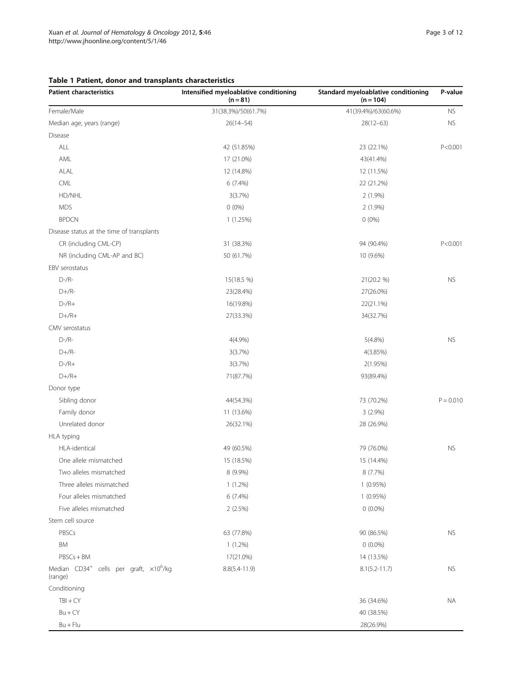## <span id="page-2-0"></span>Table 1 Patient, donor and transplants characteristics

| <b>Patient characteristics</b>                                | Intensified myeloablative conditioning<br>$(n = 81)$ | Standard myeloablative conditioning<br>$(n = 104)$ | P-value     |
|---------------------------------------------------------------|------------------------------------------------------|----------------------------------------------------|-------------|
| Female/Male                                                   | 31(38.3%)/50(61.7%)                                  | 41(39.4%)/63(60.6%)                                | <b>NS</b>   |
| Median age, years (range)                                     | $26(14 - 54)$                                        | $28(12-63)$                                        | <b>NS</b>   |
| Disease                                                       |                                                      |                                                    |             |
| ALL                                                           | 42 (51.85%)                                          | 23 (22.1%)                                         | P < 0.001   |
| AML                                                           | 17 (21.0%)                                           | 43(41.4%)                                          |             |
| ALAL                                                          | 12 (14.8%)                                           | 12 (11.5%)                                         |             |
| <b>CML</b>                                                    | 6(7.4%)                                              | 22 (21.2%)                                         |             |
| HD/NHL                                                        | 3(3.7%)                                              | 2 (1.9%)                                           |             |
| <b>MDS</b>                                                    | $0(0\%)$                                             | $2(1.9\%)$                                         |             |
| <b>BPDCN</b>                                                  | 1(1.25%)                                             | $0(0\%)$                                           |             |
| Disease status at the time of transplants                     |                                                      |                                                    |             |
| CR (including CML-CP)                                         | 31 (38.3%)                                           | 94 (90.4%)                                         | P < 0.001   |
| NR (including CML-AP and BC)                                  | 50 (61.7%)                                           | 10 (9.6%)                                          |             |
| EBV serostatus                                                |                                                      |                                                    |             |
| $D$ -/R-                                                      | 15(18.5 %)                                           | 21(20.2 %)                                         | <b>NS</b>   |
| $D+/R-$                                                       | 23(28.4%)                                            | 27(26.0%)                                          |             |
| $D-A+$                                                        | 16(19.8%)                                            | 22(21.1%)                                          |             |
| $D+/R+$                                                       | 27(33.3%)                                            | 34(32.7%)                                          |             |
| CMV serostatus                                                |                                                      |                                                    |             |
| $D$ -/R-                                                      | $4(4.9\%)$                                           | $5(4.8\%)$                                         | <b>NS</b>   |
| $D+/R-$                                                       | 3(3.7%)                                              | 4(3.85%)                                           |             |
| $D-A+$                                                        | 3(3.7%)                                              | 2(1.95%)                                           |             |
| $D+/R+$                                                       | 71(87.7%)                                            | 93(89.4%)                                          |             |
| Donor type                                                    |                                                      |                                                    |             |
| Sibling donor                                                 | 44(54.3%)                                            | 73 (70.2%)                                         | $P = 0.010$ |
| Family donor                                                  | 11 (13.6%)                                           | $3(2.9\%)$                                         |             |
| Unrelated donor                                               | 26(32.1%)                                            | 28 (26.9%)                                         |             |
| HLA typing                                                    |                                                      |                                                    |             |
| HLA-identical                                                 | 49 (60.5%)                                           | 79 (76.0%)                                         | <b>NS</b>   |
| One allele mismatched                                         | 15 (18.5%)                                           | 15 (14.4%)                                         |             |
| Two alleles mismatched                                        | 8 (9.9%)                                             | 8 (7.7%)                                           |             |
| Three alleles mismatched                                      | $1(1.2\%)$                                           | $1(0.95\%)$                                        |             |
| Four alleles mismatched                                       | 6 (7.4%)                                             | 1(0.95%)                                           |             |
| Five alleles mismatched                                       | 2(2.5%)                                              | $0(0.0\%)$                                         |             |
| Stem cell source                                              |                                                      |                                                    |             |
| PBSCs                                                         | 63 (77.8%)                                           | 90 (86.5%)                                         | <b>NS</b>   |
| <b>BM</b>                                                     | $1(1.2\%)$                                           | $0(0.0\%)$                                         |             |
| $PBSCs + BM$                                                  | 17(21.0%)                                            | 14 (13.5%)                                         |             |
| Median $CD34^+$ cells per graft, $\times 10^6$ /kg<br>(range) | $8.8(5.4 - 11.9)$                                    | $8.1(5.2 - 11.7)$                                  | <b>NS</b>   |
| Conditioning                                                  |                                                      |                                                    |             |
| $TBI + CY$                                                    |                                                      | 36 (34.6%)                                         | ΝA          |
| $Bu + CY$                                                     |                                                      | 40 (38.5%)                                         |             |
| $Bu + Flu$                                                    |                                                      | 28(26.9%)                                          |             |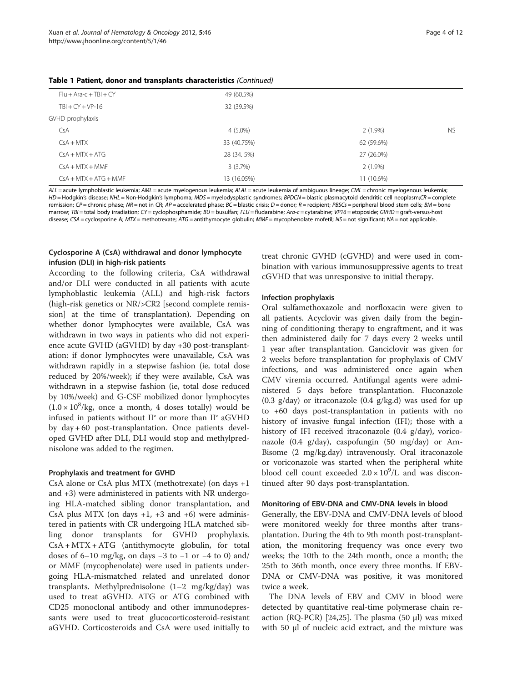| $Flu + Ara-c + TBI + CY$ | 49 (60.5%)  |            |           |
|--------------------------|-------------|------------|-----------|
| $TBI + CY + VP-16$       | 32 (39.5%)  |            |           |
| GVHD prophylaxis         |             |            |           |
| CsA                      | $4(5.0\%)$  | $2(1.9\%)$ | <b>NS</b> |
| $CsA + MTX$              | 33 (40.75%) | 62 (59.6%) |           |
| $CsA + MTX + ATG$        | 28 (34. 5%) | 27 (26.0%) |           |
| $CsA + MTX + MMF$        | 3(3.7%)     | $2(1.9\%)$ |           |
| $CSA + MTX + ATG + MMF$  | 13 (16.05%) | 11 (10.6%) |           |

Table 1 Patient, donor and transplants characteristics (Continued)

ALL = acute lymphoblastic leukemia; AML = acute myelogenous leukemia; ALAL = acute leukemia of ambiguous lineage; CML = chronic myelogenous leukemia; HD = Hodgkin's disease; NHL = Non-Hodgkin's lymphoma; MDS = myelodysplastic syndromes; BPDCN = blastic plasmacytoid dendritic cell neoplasm;CR = complete remission;  $\mathcal{CP}$  = chronic phase;  $\mathsf{NR}$  = not in CR;  $\mathsf{AP}$  = accelerated phase;  $\mathsf{BC}$  = blastic crisis;  $\mathsf{D}$  = donor;  $\mathsf{R}$  = recipient; PBSCs = peripheral blood stem cells;  $\mathsf{BM}$  = bone marrow: TBI = total body irradiation; CY = cyclophosphamide; BU = busulfan; FLU = fludarabine; Ara-c = cytarabine; VP16 = etoposide; GVHD = graft-versus-host disease; CSA = cyclosporine A; MTX = methotrexate; ATG = antithymocyte globulin; MMF = mycophenolate mofetil; NS = not significant; NA = not applicable.

## Cyclosporine A (CsA) withdrawal and donor lymphocyte infusion (DLI) in high-risk patients

According to the following criteria, CsA withdrawal and/or DLI were conducted in all patients with acute lymphoblastic leukemia (ALL) and high-risk factors (high-risk genetics or NR/>CR2 [second complete remission] at the time of transplantation). Depending on whether donor lymphocytes were available, CsA was withdrawn in two ways in patients who did not experience acute GVHD (aGVHD) by day +30 post-transplantation: if donor lymphocytes were unavailable, CsA was withdrawn rapidly in a stepwise fashion (ie, total dose reduced by 20%/week); if they were available, CsA was withdrawn in a stepwise fashion (ie, total dose reduced by 10%/week) and G-CSF mobilized donor lymphocytes  $(1.0 \times 10^8$ /kg, once a month, 4 doses totally) would be infused in patients without II° or more than II° aGVHD by day + 60 post-transplantation. Once patients developed GVHD after DLI, DLI would stop and methylprednisolone was added to the regimen.

#### Prophylaxis and treatment for GVHD

CsA alone or CsA plus MTX (methotrexate) (on days +1 and +3) were administered in patients with NR undergoing HLA-matched sibling donor transplantation, and CsA plus MTX (on days  $+1$ ,  $+3$  and  $+6$ ) were administered in patients with CR undergoing HLA matched sibling donor transplants for GVHD prophylaxis. CsA + MTX + ATG (antithymocyte globulin, for total doses of 6–10 mg/kg, on days −3 to −1 or −4 to 0) and/ or MMF (mycophenolate) were used in patients undergoing HLA-mismatched related and unrelated donor transplants. Methylprednisolone (1–2 mg/kg/day) was used to treat aGVHD. ATG or ATG combined with CD25 monoclonal antibody and other immunodepressants were used to treat glucocorticosteroid-resistant aGVHD. Corticosteroids and CsA were used initially to

treat chronic GVHD (cGVHD) and were used in combination with various immunosuppressive agents to treat cGVHD that was unresponsive to initial therapy.

### Infection prophylaxis

Oral sulfamethoxazole and norfloxacin were given to all patients. Acyclovir was given daily from the beginning of conditioning therapy to engraftment, and it was then administered daily for 7 days every 2 weeks until 1 year after transplantation. Ganciclovir was given for 2 weeks before transplantation for prophylaxis of CMV infections, and was administered once again when CMV viremia occurred. Antifungal agents were administered 5 days before transplantation. Fluconazole (0.3 g/day) or itraconazole (0.4 g/kg.d) was used for up to +60 days post-transplantation in patients with no history of invasive fungal infection (IFI); those with a history of IFI received itraconazole (0.4 g/day), voriconazole (0.4 g/day), caspofungin (50 mg/day) or Am-Bisome (2 mg/kg.day) intravenously. Oral itraconazole or voriconazole was started when the peripheral white blood cell count exceeded  $2.0 \times 10^9$ /L and was discontinued after 90 days post-transplantation.

#### Monitoring of EBV-DNA and CMV-DNA levels in blood

Generally, the EBV-DNA and CMV-DNA levels of blood were monitored weekly for three months after transplantation. During the 4th to 9th month post-transplantation, the monitoring frequency was once every two weeks; the 10th to the 24th month, once a month; the 25th to 36th month, once every three months. If EBV-DNA or CMV-DNA was positive, it was monitored twice a week.

The DNA levels of EBV and CMV in blood were detected by quantitative real-time polymerase chain reaction ( $RQ-PCR$ ) [[24,25\]](#page-10-0). The plasma (50  $\mu$ l) was mixed with 50 μl of nucleic acid extract, and the mixture was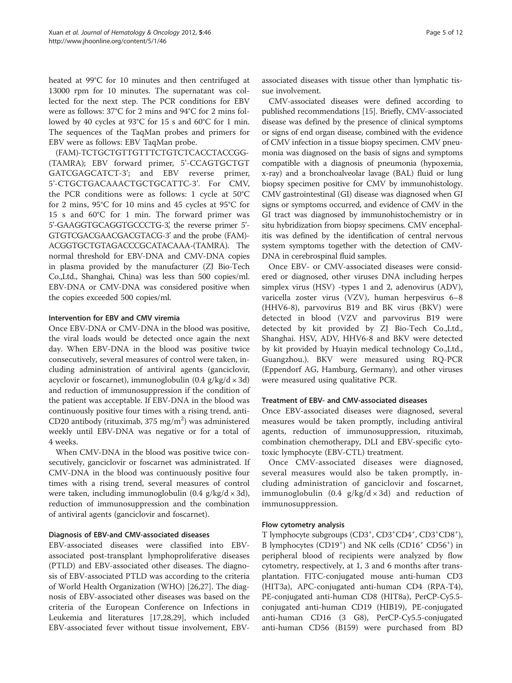heated at 99°C for 10 minutes and then centrifuged at 13000 rpm for 10 minutes. The supernatant was collected for the next step. The PCR conditions for EBV were as follows: 37°C for 2 mins and 94°C for 2 mins followed by 40 cycles at 93°C for 15 s and 60°C for 1 min. The sequences of the TaqMan probes and primers for EBV were as follows: EBV TaqMan probe.

(FAM)-TCTGCTGTTGTTTCTGTCTCACCTACCGG- (TAMRA); EBV forward primer, 5'-CCAGTGCTGT GATCGAGCATCT-3'; and EBV reverse primer, 5'-CTGCTGACAAACTGCTGCATTC-3'. For CMV, the PCR conditions were as follows: 1 cycle at 50°C for 2 mins, 95°C for 10 mins and 45 cycles at 95°C for 15 s and 60°C for 1 min. The forward primer was 5'-GAAGGTGCAGGTGCCCTG-3', the reverse primer 5'-GTGTCGACGAACGACGTACG-3' and the probe (FAM)- ACGGTGCTGTAGACCCGCATACAAA-(TAMRA). The normal threshold for EBV-DNA and CMV-DNA copies in plasma provided by the manufacturer (ZJ Bio-Tech Co.,Ltd., Shanghai, China) was less than 500 copies/ml. EBV-DNA or CMV-DNA was considered positive when the copies exceeded 500 copies/ml.

#### Intervention for EBV and CMV viremia

Once EBV-DNA or CMV-DNA in the blood was positive, the viral loads would be detected once again the next day. When EBV-DNA in the blood was positive twice consecutively, several measures of control were taken, including administration of antiviral agents (ganciclovir, acyclovir or foscarnet), immunoglobulin  $(0.4 \text{ g/kg/d} \times 3 \text{ d})$ and reduction of immunosuppression if the condition of the patient was acceptable. If EBV-DNA in the blood was continuously positive four times with a rising trend, anti-CD20 antibody (rituximab, 375 mg/m<sup>2</sup>) was administered weekly until EBV-DNA was negative or for a total of 4 weeks.

When CMV-DNA in the blood was positive twice consecutively, ganciclovir or foscarnet was administrated. If CMV-DNA in the blood was continuously positive four times with a rising trend, several measures of control were taken, including immunoglobulin  $(0.4 \text{ g/kg}/d \times 3d)$ , reduction of immunosuppression and the combination of antiviral agents (ganciclovir and foscarnet).

### Diagnosis of EBV-and CMV-associated diseases

EBV-associated diseases were classified into EBVassociated post-transplant lymphoproliferative diseases (PTLD) and EBV-associated other diseases. The diagnosis of EBV-associated PTLD was according to the criteria of World Health Organization (WHO) [\[26,27\]](#page-10-0). The diagnosis of EBV-associated other diseases was based on the criteria of the European Conference on Infections in Leukemia and literatures [\[17,28,29](#page-10-0)], which included EBV-associated fever without tissue involvement, EBV-

associated diseases with tissue other than lymphatic tissue involvement.

CMV-associated diseases were defined according to published recommendations [\[15](#page-10-0)]. Briefly, CMV-associated disease was defined by the presence of clinical symptoms or signs of end organ disease, combined with the evidence of CMV infection in a tissue biopsy specimen. CMV pneumonia was diagnosed on the basis of signs and symptoms compatible with a diagnosis of pneumonia (hypoxemia, x-ray) and a bronchoalveolar lavage (BAL) fluid or lung biopsy specimen positive for CMV by immunohistology. CMV gastrointestinal (GI) disease was diagnosed when GI signs or symptoms occurred, and evidence of CMV in the GI tract was diagnosed by immunohistochemistry or in situ hybridization from biopsy specimens. CMV encephalitis was defined by the identification of central nervous system symptoms together with the detection of CMV-DNA in cerebrospinal fluid samples.

Once EBV- or CMV-associated diseases were considered or diagnosed, other viruses DNA including herpes simplex virus (HSV) -types 1 and 2, adenovirus (ADV), varicella zoster virus (VZV), human herpesvirus 6–8 (HHV6-8), parvovirus B19 and BK virus (BKV) were detected in blood (VZV and parvovirus B19 were detected by kit provided by ZJ Bio-Tech Co.,Ltd., Shanghai. HSV, ADV, HHV6-8 and BKV were detected by kit provided by Huayin medical technology Co.,Ltd., Guangzhou.). BKV were measured using RQ-PCR (Eppendorf AG, Hamburg, Germany), and other viruses were measured using qualitative PCR.

#### Treatment of EBV- and CMV-associated diseases

Once EBV-associated diseases were diagnosed, several measures would be taken promptly, including antiviral agents, reduction of immunosuppression, rituximab, combination chemotherapy, DLI and EBV-specific cytotoxic lymphocyte (EBV-CTL) treatment.

Once CMV-associated diseases were diagnosed, several measures would also be taken promptly, including administration of ganciclovir and foscarnet, immunoglobulin  $(0.4 \text{ g/kg}/d \times 3d)$  and reduction of immunosuppression.

### Flow cytometry analysis

T lymphocyte subgroups (CD3+, CD3+CD4+, CD3+CD8+), B lymphocytes (CD19<sup>+</sup>) and NK cells (CD16<sup>+</sup> CD56<sup>+</sup>) in peripheral blood of recipients were analyzed by flow cytometry, respectively, at 1, 3 and 6 months after transplantation. FITC-conjugated mouse anti-human CD3 (HIT3a), APC-conjugated anti-human CD4 (RPA-T4), PE-conjugated anti-human CD8 (HIT8a), PerCP-Cy5.5 conjugated anti-human CD19 (HIB19), PE-conjugated anti-human CD16 (3 G8), PerCP-Cy5.5-conjugated anti-human CD56 (B159) were purchased from BD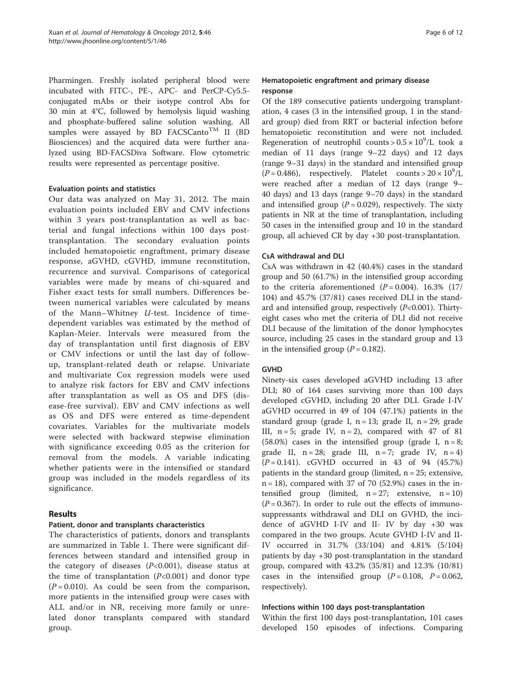Pharmingen. Freshly isolated peripheral blood were incubated with FITC-, PE-, APC- and PerCP-Cy5.5 conjugated mAbs or their isotype control Abs for 30 min at 4°C, followed by hemolysis liquid washing and phosphate-buffered saline solution washing. All samples were assayed by BD FACSCanto<sup>TM</sup> II (BD Biosciences) and the acquired data were further analyzed using BD-FACSDiva Software. Flow cytometric results were represented as percentage positive.

#### Evaluation points and statistics

Our data was analyzed on May 31, 2012. The main evaluation points included EBV and CMV infections within 3 years post-transplantation as well as bacterial and fungal infections within 100 days posttransplantation. The secondary evaluation points included hematopoietic engraftment, primary disease response, aGVHD, cGVHD, immune reconstitution, recurrence and survival. Comparisons of categorical variables were made by means of chi-squared and Fisher exact tests for small numbers. Differences between numerical variables were calculated by means of the Mann–Whitney U-test. Incidence of timedependent variables was estimated by the method of Kaplan-Meier. Intervals were measured from the day of transplantation until first diagnosis of EBV or CMV infections or until the last day of followup, transplant-related death or relapse. Univariate and multivariate Cox regression models were used to analyze risk factors for EBV and CMV infections after transplantation as well as OS and DFS (disease-free survival). EBV and CMV infections as well as OS and DFS were entered as time-dependent covariates. Variables for the multivariate models were selected with backward stepwise elimination with significance exceeding 0.05 as the criterion for removal from the models. A variable indicating whether patients were in the intensified or standard group was included in the models regardless of its significance.

### Results

## Patient, donor and transplants characteristics

The characteristics of patients, donors and transplants are summarized in Table [1](#page-2-0). There were significant differences between standard and intensified group in the category of diseases  $(P<0.001)$ , disease status at the time of transplantation  $(P<0.001)$  and donor type  $(P = 0.010)$ . As could be seen from the comparison, more patients in the intensified group were cases with ALL and/or in NR, receiving more family or unrelated donor transplants compared with standard group.

## Hematopoietic engraftment and primary disease response

Of the 189 consecutive patients undergoing transplantation, 4 cases (3 in the intensified group, 1 in the standard group) died from RRT or bacterial infection before hematopoietic reconstitution and were not included. Regeneration of neutrophil counts >  $0.5 \times 10^9$ /L took a median of 11 days (range 9–22 days) and 12 days (range 9–31 days) in the standard and intensified group  $(P = 0.486)$ , respectively. Platelet counts >  $20 \times 10^9$ /L were reached after a median of 12 days (range 9– 40 days) and 13 days (range 9–70 days) in the standard and intensified group  $(P = 0.029)$ , respectively. The sixty patients in NR at the time of transplantation, including 50 cases in the intensified group and 10 in the standard group, all achieved CR by day +30 post-transplantation.

### CsA withdrawal and DLI

CsA was withdrawn in 42 (40.4%) cases in the standard group and 50 (61.7%) in the intensified group according to the criteria aforementioned  $(P = 0.004)$ . 16.3% (17/ 104) and 45.7% (37/81) cases received DLI in the standard and intensified group, respectively  $(P<0.001)$ . Thirtyeight cases who met the criteria of DLI did not receive DLI because of the limitation of the donor lymphocytes source, including 25 cases in the standard group and 13 in the intensified group ( $P = 0.182$ ).

### **GVHD**

Ninety-six cases developed aGVHD including 13 after DLI; 80 of 164 cases surviving more than 100 days developed cGVHD, including 20 after DLI. Grade I-IV aGVHD occurred in 49 of 104 (47.1%) patients in the standard group (grade I,  $n = 13$ ; grade II,  $n = 29$ ; grade III,  $n = 5$ ; grade IV,  $n = 2$ ), compared with 47 of 81 (58.0%) cases in the intensified group (grade I,  $n = 8$ ; grade II,  $n = 28$ ; grade III,  $n = 7$ ; grade IV,  $n = 4$ )  $(P = 0.141)$ . cGVHD occurred in 43 of 94 (45.7%) patients in the standard group (limited,  $n = 25$ ; extensive,  $n = 18$ ), compared with 37 of 70 (52.9%) cases in the intensified group (limited,  $n = 27$ ; extensive,  $n = 10$ )  $(P = 0.367)$ . In order to rule out the effects of immunosuppressants withdrawal and DLI on GVHD, the incidence of aGVHD I-IV and II- IV by day +30 was compared in the two groups. Acute GVHD I-IV and II-IV occurred in 31.7% (33/104) and 4.81% (5/104) patients by day +30 post-transplantation in the standard group, compared with 43.2% (35/81) and 12.3% (10/81) cases in the intensified group  $(P = 0.108, P = 0.062,$ respectively).

### Infections within 100 days post-transplantation

Within the first 100 days post-transplantation, 101 cases developed 150 episodes of infections. Comparing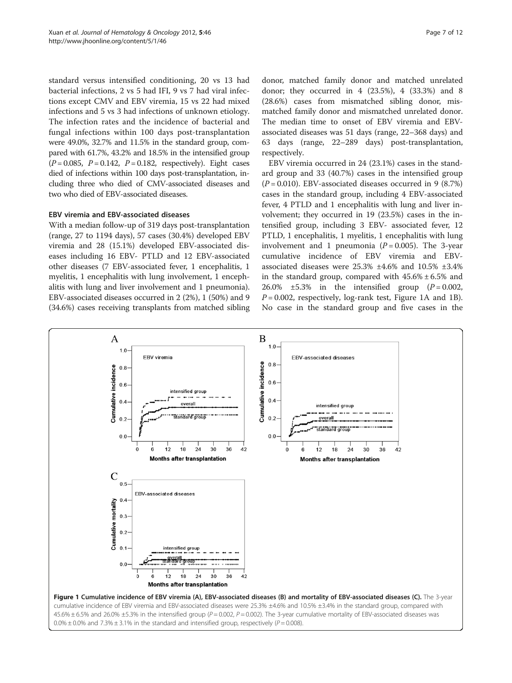<span id="page-6-0"></span>standard versus intensified conditioning, 20 vs 13 had bacterial infections, 2 vs 5 had IFI, 9 vs 7 had viral infections except CMV and EBV viremia, 15 vs 22 had mixed infections and 5 vs 3 had infections of unknown etiology. The infection rates and the incidence of bacterial and fungal infections within 100 days post-transplantation were 49.0%, 32.7% and 11.5% in the standard group, compared with 61.7%, 43.2% and 18.5% in the intensified group  $(P = 0.085, P = 0.142, P = 0.182, respectively).$  Eight cases died of infections within 100 days post-transplantation, including three who died of CMV-associated diseases and two who died of EBV-associated diseases.

#### EBV viremia and EBV-associated diseases

With a median follow-up of 319 days post-transplantation (range, 27 to 1194 days), 57 cases (30.4%) developed EBV viremia and 28 (15.1%) developed EBV-associated diseases including 16 EBV- PTLD and 12 EBV-associated other diseases (7 EBV-associated fever, 1 encephalitis, 1 myelitis, 1 encephalitis with lung involvement, 1 encephalitis with lung and liver involvement and 1 pneumonia). EBV-associated diseases occurred in 2 (2%), 1 (50%) and 9 (34.6%) cases receiving transplants from matched sibling

donor, matched family donor and matched unrelated donor; they occurred in 4 (23.5%), 4 (33.3%) and 8 (28.6%) cases from mismatched sibling donor, mismatched family donor and mismatched unrelated donor. The median time to onset of EBV viremia and EBVassociated diseases was 51 days (range, 22–368 days) and 63 days (range, 22–289 days) post-transplantation, respectively.

EBV viremia occurred in 24 (23.1%) cases in the standard group and 33 (40.7%) cases in the intensified group  $(P = 0.010)$ . EBV-associated diseases occurred in 9 (8.7%) cases in the standard group, including 4 EBV-associated fever, 4 PTLD and 1 encephalitis with lung and liver involvement; they occurred in 19 (23.5%) cases in the intensified group, including 3 EBV- associated fever, 12 PTLD, 1 encephalitis, 1 myelitis, 1 encephalitis with lung involvement and 1 pneumonia  $(P = 0.005)$ . The 3-year cumulative incidence of EBV viremia and EBVassociated diseases were 25.3% ±4.6% and 10.5% ±3.4% in the standard group, compared with  $45.6\% \pm 6.5\%$  and 26.0%  $\pm$ 5.3% in the intensified group ( $P = 0.002$ ,  $P = 0.002$ , respectively, log-rank test, Figure 1A and 1B). No case in the standard group and five cases in the

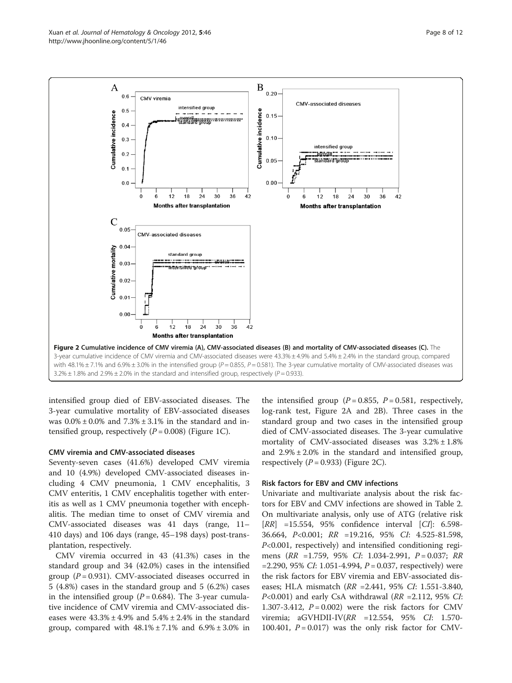

intensified group died of EBV-associated diseases. The 3-year cumulative mortality of EBV-associated diseases was  $0.0\% \pm 0.0\%$  and  $7.3\% \pm 3.1\%$  in the standard and intensified group, respectively  $(P = 0.008)$  (Figure [1C\)](#page-6-0).

#### CMV viremia and CMV-associated diseases

Seventy-seven cases (41.6%) developed CMV viremia and 10 (4.9%) developed CMV-associated diseases including 4 CMV pneumonia, 1 CMV encephalitis, 3 CMV enteritis, 1 CMV encephalitis together with enteritis as well as 1 CMV pneumonia together with encephalitis. The median time to onset of CMV viremia and CMV-associated diseases was 41 days (range, 11– 410 days) and 106 days (range, 45–198 days) post-transplantation, respectively.

CMV viremia occurred in 43 (41.3%) cases in the standard group and 34 (42.0%) cases in the intensified group ( $P = 0.931$ ). CMV-associated diseases occurred in 5 (4.8%) cases in the standard group and 5 (6.2%) cases in the intensified group ( $P = 0.684$ ). The 3-year cumulative incidence of CMV viremia and CMV-associated diseases were  $43.3\% \pm 4.9\%$  and  $5.4\% \pm 2.4\%$  in the standard group, compared with  $48.1\% \pm 7.1\%$  and  $6.9\% \pm 3.0\%$  in

the intensified group ( $P = 0.855$ ,  $P = 0.581$ , respectively, log-rank test, Figure 2A and 2B). Three cases in the standard group and two cases in the intensified group died of CMV-associated diseases. The 3-year cumulative mortality of CMV-associated diseases was  $3.2\% \pm 1.8\%$ and  $2.9\% \pm 2.0\%$  in the standard and intensified group, respectively  $(P = 0.933)$  (Figure 2C).

#### Risk factors for EBV and CMV infections

Univariate and multivariate analysis about the risk factors for EBV and CMV infections are showed in Table [2](#page-8-0). On multivariate analysis, only use of ATG (relative risk  $[RR] =15.554, 95\%$  confidence interval  $[CI]: 6.598-$ 36.664, P<0.001; RR =19.216, 95% CI: 4.525-81.598, P<0.001, respectively) and intensified conditioning regimens (RR =1.759, 95% CI: 1.034-2.991, P = 0.037; RR  $=$  2.290, 95% *CI*: 1.051-4.994, *P* = 0.037, respectively) were the risk factors for EBV viremia and EBV-associated diseases; HLA mismatch (RR =2.441, 95% CI: 1.551-3.840,  $P<0.001$ ) and early CsA withdrawal ( $RR = 2.112$ , 95% CI: 1.307-3.412,  $P = 0.002$ ) were the risk factors for CMV viremia; aGVHDII-IV(RR =12.554, 95% CI: 1.570- 100.401,  $P = 0.017$ ) was the only risk factor for CMV-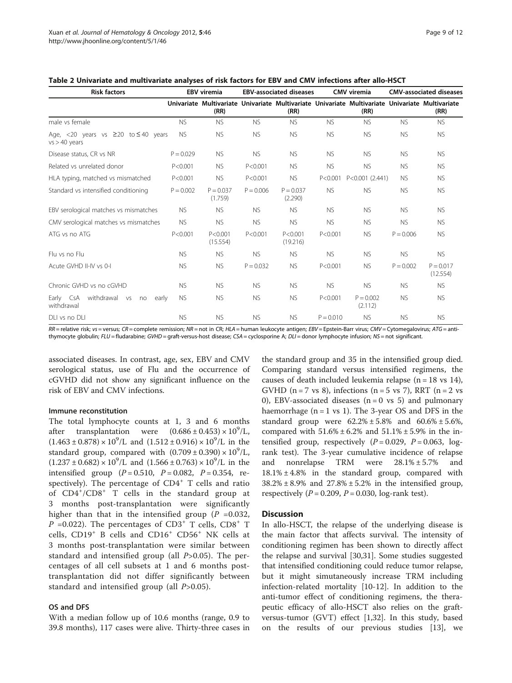| <b>Risk factors</b>                                               | <b>EBV</b> viremia |                        | <b>EBV-associated diseases</b> |                        | CMV viremia |                                                                                                         | <b>CMV-associated diseases</b> |                         |
|-------------------------------------------------------------------|--------------------|------------------------|--------------------------------|------------------------|-------------|---------------------------------------------------------------------------------------------------------|--------------------------------|-------------------------|
|                                                                   |                    | (RR)                   |                                | (RR)                   |             | Univariate Multivariate Univariate Multivariate Univariate Multivariate Univariate Multivariate<br>(RR) |                                | (RR)                    |
| male vs female                                                    | <b>NS</b>          | <b>NS</b>              | <b>NS</b>                      | <b>NS</b>              | <b>NS</b>   | <b>NS</b>                                                                                               | <b>NS</b>                      | <b>NS</b>               |
| Age, <20 years vs $\geq$ 20 to $\leq$ 40 years<br>$vs > 40$ years | <b>NS</b>          | <b>NS</b>              | <b>NS</b>                      | <b>NS</b>              | <b>NS</b>   | <b>NS</b>                                                                                               | <b>NS</b>                      | <b>NS</b>               |
| Disease status, CR vs NR                                          | $P = 0.029$        | <b>NS</b>              | <b>NS</b>                      | <b>NS</b>              | <b>NS</b>   | <b>NS</b>                                                                                               | <b>NS</b>                      | <b>NS</b>               |
| Related vs unrelated donor                                        | P < 0.001          | <b>NS</b>              | P < 0.001                      | <b>NS</b>              | <b>NS</b>   | <b>NS</b>                                                                                               | <b>NS</b>                      | <b>NS</b>               |
| HLA typing, matched vs mismatched                                 | P < 0.001          | <b>NS</b>              | P < 0.001                      | <b>NS</b>              | P < 0.001   | P<0.001 (2.441)                                                                                         | <b>NS</b>                      | <b>NS</b>               |
| Standard vs intensified conditioning                              | $P = 0.002$        | $P = 0.037$<br>(1.759) | $P = 0.006$                    | $P = 0.037$<br>(2.290) | <b>NS</b>   | <b>NS</b>                                                                                               | <b>NS</b>                      | <b>NS</b>               |
| EBV serological matches vs mismatches                             | <b>NS</b>          | <b>NS</b>              | <b>NS</b>                      | <b>NS</b>              | <b>NS</b>   | <b>NS</b>                                                                                               | <b>NS</b>                      | <b>NS</b>               |
| CMV serological matches vs mismatches                             | <b>NS</b>          | <b>NS</b>              | <b>NS</b>                      | <b>NS</b>              | <b>NS</b>   | <b>NS</b>                                                                                               | <b>NS</b>                      | <b>NS</b>               |
| ATG vs no ATG                                                     | P < 0.001          | P < 0.001<br>(15.554)  | P < 0.001                      | P < 0.001<br>(19.216)  | P < 0.001   | <b>NS</b>                                                                                               | $P = 0.006$                    | <b>NS</b>               |
| Flu vs no Flu                                                     | <b>NS</b>          | <b>NS</b>              | <b>NS</b>                      | <b>NS</b>              | <b>NS</b>   | <b>NS</b>                                                                                               | <b>NS</b>                      | <b>NS</b>               |
| Acute GVHD II-IV vs 0-I                                           | <b>NS</b>          | <b>NS</b>              | $P = 0.032$                    | <b>NS</b>              | P < 0.001   | <b>NS</b>                                                                                               | $P = 0.002$                    | $P = 0.017$<br>(12.554) |
| Chronic GVHD vs no cGVHD                                          | <b>NS</b>          | <b>NS</b>              | <b>NS</b>                      | <b>NS</b>              | <b>NS</b>   | <b>NS</b>                                                                                               | <b>NS</b>                      | <b>NS</b>               |
| withdrawal vs<br>Early CsA<br>no<br>early<br>withdrawal           | <b>NS</b>          | <b>NS</b>              | <b>NS</b>                      | <b>NS</b>              | P < 0.001   | $P = 0.002$<br>(2.112)                                                                                  | <b>NS</b>                      | <b>NS</b>               |
| DLI vs no DLI                                                     | <b>NS</b>          | <b>NS</b>              | <b>NS</b>                      | <b>NS</b>              | $P = 0.010$ | <b>NS</b>                                                                                               | <b>NS</b>                      | <b>NS</b>               |

<span id="page-8-0"></span>Table 2 Univariate and multivariate analyses of risk factors for EBV and CMV infections after allo-HSCT

RR = relative risk; vs = versus; CR = complete remission; NR = not in CR; HLA = human leukocyte antigen; EBV = Epstein-Barr virus; CMV = Cytomegalovirus; ATG = antithymocyte globulin; FLU = fludarabine; GVHD = graft-versus-host disease; CSA = cyclosporine A; DLI = donor lymphocyte infusion; NS = not significant.

associated diseases. In contrast, age, sex, EBV and CMV serological status, use of Flu and the occurrence of cGVHD did not show any significant influence on the risk of EBV and CMV infections.

#### Immune reconstitution

The total lymphocyte counts at 1, 3 and 6 months after transplantation were  $(0.686 \pm 0.453) \times 10^9$ /L,  $(1.463 \pm 0.878) \times 10^9$ /L and  $(1.512 \pm 0.916) \times 10^9$ /L in the standard group, compared with  $(0.709 \pm 0.390) \times 10^9$ /L,  $(1.237 \pm 0.682) \times 10^9$ /L and  $(1.566 \pm 0.763) \times 10^9$ /L in the intensified group  $(P = 0.510, P = 0.082, P = 0.354, re$ spectively). The percentage of CD4<sup>+</sup> T cells and ratio of CD4<sup>+</sup> /CD8<sup>+</sup> T cells in the standard group at 3 months post-transplantation were significantly higher than that in the intensified group ( $P = 0.032$ ,  $P = 0.022$ ). The percentages of CD3<sup>+</sup> T cells, CD8<sup>+</sup> T cells, CD19<sup>+</sup> B cells and CD16<sup>+</sup> CD56<sup>+</sup> NK cells at 3 months post-transplantation were similar between standard and intensified group (all  $P > 0.05$ ). The percentages of all cell subsets at 1 and 6 months posttransplantation did not differ significantly between standard and intensified group (all  $P > 0.05$ ).

#### OS and DFS

With a median follow up of 10.6 months (range, 0.9 to 39.8 months), 117 cases were alive. Thirty-three cases in

the standard group and 35 in the intensified group died. Comparing standard versus intensified regimens, the causes of death included leukemia relapse  $(n = 18 \text{ vs } 14)$ , GVHD ( $n = 7$  vs 8), infections ( $n = 5$  vs 7), RRT ( $n = 2$  vs 0), EBV-associated diseases  $(n = 0 \text{ vs } 5)$  and pulmonary haemorrhage  $(n = 1 \text{ vs } 1)$ . The 3-year OS and DFS in the standard group were  $62.2\% \pm 5.8\%$  and  $60.6\% \pm 5.6\%$ , compared with  $51.6\% \pm 6.2\%$  and  $51.1\% \pm 5.9\%$  in the intensified group, respectively  $(P = 0.029, P = 0.063, \log a)$ rank test). The 3-year cumulative incidence of relapse and nonrelapse TRM were 28.1% ± 5.7% and  $18.1\% \pm 4.8\%$  in the standard group, compared with  $38.2\% \pm 8.9\%$  and  $27.8\% \pm 5.2\%$  in the intensified group, respectively ( $P = 0.209$ ,  $P = 0.030$ , log-rank test).

### **Discussion**

In allo-HSCT, the relapse of the underlying disease is the main factor that affects survival. The intensity of conditioning regimen has been shown to directly affect the relapse and survival [\[30,31](#page-10-0)]. Some studies suggested that intensified conditioning could reduce tumor relapse, but it might simutaneously increase TRM including infection-related mortality [[10-12](#page-10-0)]. In addition to the anti-tumor effect of conditioning regimens, the therapeutic efficacy of allo-HSCT also relies on the graftversus-tumor (GVT) effect [[1](#page-9-0),[32](#page-10-0)]. In this study, based on the results of our previous studies [[13](#page-10-0)], we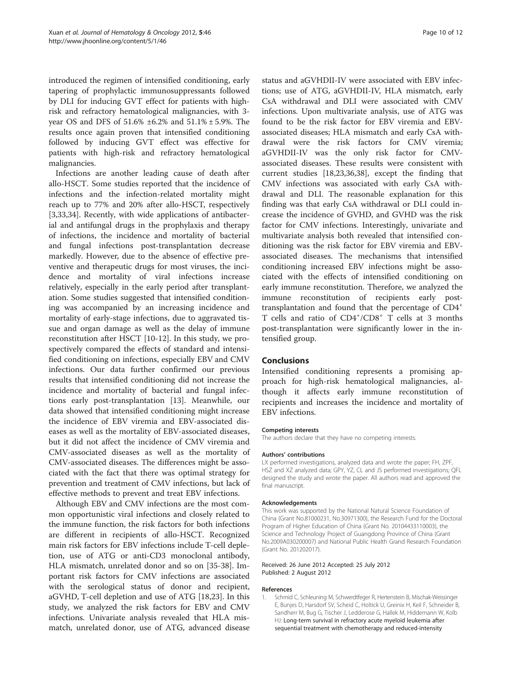<span id="page-9-0"></span>introduced the regimen of intensified conditioning, early tapering of prophylactic immunosuppressants followed by DLI for inducing GVT effect for patients with highrisk and refractory hematological malignancies, with 3 year OS and DFS of 51.6% ±6.2% and 51.1% ± 5.9%. The results once again proven that intensified conditioning followed by inducing GVT effect was effective for patients with high-risk and refractory hematological malignancies.

Infections are another leading cause of death after allo-HSCT. Some studies reported that the incidence of infections and the infection-related mortality might reach up to 77% and 20% after allo-HSCT, respectively [[3,33,](#page-10-0)[34\]](#page-11-0). Recently, with wide applications of antibacterial and antifungal drugs in the prophylaxis and therapy of infections, the incidence and mortality of bacterial and fungal infections post-transplantation decrease markedly. However, due to the absence of effective preventive and therapeutic drugs for most viruses, the incidence and mortality of viral infections increase relatively, especially in the early period after transplantation. Some studies suggested that intensified conditioning was accompanied by an increasing incidence and mortality of early-stage infections, due to aggravated tissue and organ damage as well as the delay of immune reconstitution after HSCT [[10-12\]](#page-10-0). In this study, we prospectively compared the effects of standard and intensified conditioning on infections, especially EBV and CMV infections. Our data further confirmed our previous results that intensified conditioning did not increase the incidence and mortality of bacterial and fungal infections early post-transplantation [\[13](#page-10-0)]. Meanwhile, our data showed that intensified conditioning might increase the incidence of EBV viremia and EBV-associated diseases as well as the mortality of EBV-associated diseases, but it did not affect the incidence of CMV viremia and CMV-associated diseases as well as the mortality of CMV-associated diseases. The differences might be associated with the fact that there was optimal strategy for prevention and treatment of CMV infections, but lack of effective methods to prevent and treat EBV infections.

Although EBV and CMV infections are the most common opportunistic viral infections and closely related to the immune function, the risk factors for both infections are different in recipients of allo-HSCT. Recognized main risk factors for EBV infections include T-cell depletion, use of ATG or anti-CD3 monoclonal antibody, HLA mismatch, unrelated donor and so on [[35](#page-11-0)-[38\]](#page-11-0). Important risk factors for CMV infections are associated with the serological status of donor and recipient, aGVHD, T-cell depletion and use of ATG [[18,23\]](#page-10-0). In this study, we analyzed the risk factors for EBV and CMV infections. Univariate analysis revealed that HLA mismatch, unrelated donor, use of ATG, advanced disease status and aGVHDII-IV were associated with EBV infections; use of ATG, aGVHDII-IV, HLA mismatch, early CsA withdrawal and DLI were associated with CMV infections. Upon multivariate analysis, use of ATG was found to be the risk factor for EBV viremia and EBVassociated diseases; HLA mismatch and early CsA withdrawal were the risk factors for CMV viremia; aGVHDII-IV was the only risk factor for CMVassociated diseases. These results were consistent with current studies [[18,23](#page-10-0),[36](#page-11-0),[38](#page-11-0)], except the finding that CMV infections was associated with early CsA withdrawal and DLI. The reasonable explanation for this finding was that early CsA withdrawal or DLI could increase the incidence of GVHD, and GVHD was the risk factor for CMV infections. Interestingly, univariate and multivariate analysis both revealed that intensified conditioning was the risk factor for EBV viremia and EBVassociated diseases. The mechanisms that intensified conditioning increased EBV infections might be associated with the effects of intensified conditioning on early immune reconstitution. Therefore, we analyzed the immune reconstitution of recipients early posttransplantation and found that the percentage of CD4<sup>+</sup> T cells and ratio of CD4+/CD8+ T cells at 3 months post-transplantation were significantly lower in the intensified group.

#### Conclusions

Intensified conditioning represents a promising approach for high-risk hematological malignancies, although it affects early immune reconstitution of recipients and increases the incidence and mortality of EBV infections.

#### Competing interests

The authors declare that they have no competing interests.

#### Authors' contributions

LX performed investigations, analyzed data and wrote the paper; FH, ZPF, HSZ and XZ analyzed data; GPY, YZ, CL and JS performed investigations; QFL designed the study and wrote the paper. All authors read and approved the final manuscript.

#### Acknowledgements

This work was supported by the National Natural Science Foundation of China (Grant No.81000231, No.30971300), the Research Fund for the Doctoral Program of Higher Education of China (Grant No. 20104433110003), the Science and Technology Project of Guangdong Province of China (Grant No.2009A030200007) and National Public Health Grand Research Foundation (Grant No. 201202017).

#### Received: 26 June 2012 Accepted: 25 July 2012 Published: 2 August 2012

#### References

1. Schmid C, Schleuning M, Schwerdtfeger R, Hertenstein B, Mischak-Weissinger E, Bunjes D, Harsdorf SV, Scheid C, Holtick U, Greinix H, Keil F, Schneider B, Sandherr M, Bug G, Tischer J, Ledderose G, Hallek M, Hiddemann W, Kolb HJ: Long-term survival in refractory acute myeloid leukemia after sequential treatment with chemotherapy and reduced-intensity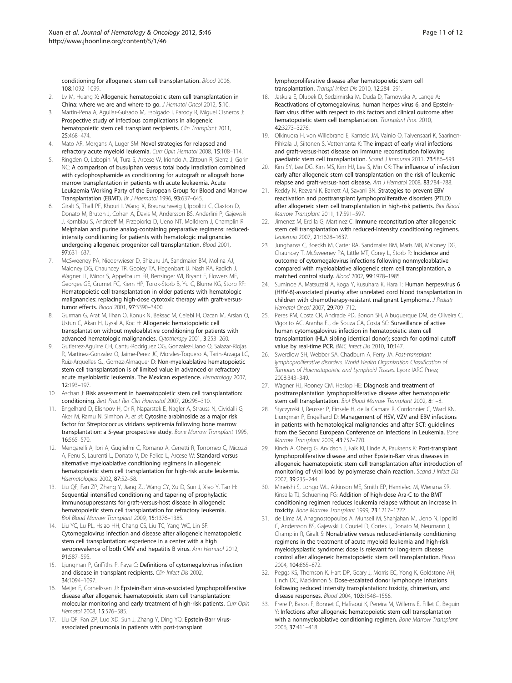<span id="page-10-0"></span>conditioning for allogeneic stem cell transplantation. Blood 2006, 108:1092–1099.

- 2. Lv M, Huang X: Allogeneic hematopoietic stem cell transplantation in China: where we are and where to go. J Hematol Oncol 2012, 5:10.
- 3. Martin-Pena A, Aguilar-Guisado M, Espigado I, Parody R, Miguel Cisneros J: Prospective study of infectious complications in allogeneic hematopoietic stem cell transplant recipients. Clin Transplant 2011, 25:468–474.
- 4. Mato AR, Morgans A, Luger SM: Novel strategies for relapsed and refractory acute myeloid leukemia. Curr Opin Hematol 2008, 15:108–114.
- 5. Ringden O, Labopin M, Tura S, Arcese W, Iriondo A, Zittoun R, Sierra J, Gorin NC: A comparison of busulphan versus total body irradiation combined with cyclophosphamide as conditioning for autograft or allograft bone marrow transplantation in patients with acute leukaemia. Acute Leukaemia Working Party of the European Group for Blood and Marrow Transplantation (EBMT). Br J Haematol 1996, 93:637–645.
- Giralt S, Thall PF, Khouri I, Wang X, Braunschweig I, Ippolitti C, Claxton D, Donato M, Bruton J, Cohen A, Davis M, Andersson BS, Anderlini P, Gajewski J, Kornblau S, Andreeff M, Przepiorka D, Ueno NT, Molldrem J, Champlin R: Melphalan and purine analog-containing preparative regimens: reducedintensity conditioning for patients with hematologic malignancies undergoing allogeneic progenitor cell transplantation. Blood 2001, 97:631–637.
- 7. McSweeney PA, Niederwieser D, Shizuru JA, Sandmaier BM, Molina AJ, Maloney DG, Chauncey TR, Gooley TA, Hegenbart U, Nash RA, Radich J, Wagner JL, Minor S, Appelbaum FR, Bensinger WI, Bryant E, Flowers ME, Georges GE, Grumet FC, Kiem HP, Torok-Storb B, Yu C, Blume KG, Storb RF: Hematopoietic cell transplantation in older patients with hematologic malignancies: replacing high-dose cytotoxic therapy with graft-versustumor effects. Blood 2001, 97:3390–3400.
- 8. Gurman G, Arat M, Ilhan O, Konuk N, Beksac M, Celebi H, Ozcan M, Arslan O, Ustun C, Akan H, Uysal A, Koc H: Allogeneic hematopoietic cell transplantation without myeloablative conditioning for patients with advanced hematologic malignancies. Cytotherapy 2001, 3:253–260.
- 9. Gutierrez-Aguirre CH, Cantu-Rodriguez OG, Gonzalez-Llano O, Salazar-Riojas R, Martinez-Gonzalez O, Jaime-Perez JC, Morales-Toquero A, Tarin-Arzaga LC, Ruiz-Arguelles GJ, Gomez-Almaguer D: Non-myeloablative hematopoietic stem cell transplantation is of limited value in advanced or refractory acute myeloblastic leukemia. The Mexican experience. Hematology 2007, 12:193–197.
- 10. Aschan J: Risk assessment in haematopoietic stem cell transplantation: conditioning. Best Pract Res Clin Haematol 2007, 20:295–310.
- 11. Engelhard D, Elishoov H, Or R, Naparstek E, Nagler A, Strauss N, Cividalli G, Aker M, Ramu N, Simhon A, et al: Cytosine arabinoside as a major risk factor for Streptococcus viridans septicemia following bone marrow transplantation: a 5-year prospective study. Bone Marrow Transplant 1995, 16:565–570.
- 12. Mengarelli A, Iori A, Guglielmi C, Romano A, Cerretti R, Torromeo C, Micozzi A, Fenu S, Laurenti L, Donato V, De Felice L, Arcese W: Standard versus alternative myeloablative conditioning regimens in allogeneic hematopoietic stem cell transplantation for high-risk acute leukemia. Haematologica 2002, 87:52–58.
- 13. Liu QF, Fan ZP, Zhang Y, Jiang ZJ, Wang CY, Xu D, Sun J, Xiao Y, Tan H: Sequential intensified conditioning and tapering of prophylactic immunosuppressants for graft-versus-host disease in allogeneic hematopoietic stem cell transplantation for refractory leukemia. Biol Blood Marrow Transplant 2009, 15:1376–1385.
- 14. Liu YC, Lu PL, Hsiao HH, Chang CS, Liu TC, Yang WC, Lin SF: Cytomegalovirus infection and disease after allogeneic hematopoietic stem cell transplantation: experience in a center with a high seroprevalence of both CMV and hepatitis B virus. Ann Hematol 2012, 91:587–595.
- 15. Ljungman P, Griffiths P, Paya C: Definitions of cytomegalovirus infection and disease in transplant recipients. Clin Infect Dis 2002, 34:1094–1097.
- 16. Meijer E, Cornelissen JJ: Epstein-Barr virus-associated lymphoproliferative disease after allogeneic haematopoietic stem cell transplantation: molecular monitoring and early treatment of high-risk patients. Curr Opin Hematol 2008, 15:576–585.
- 17. Liu QF, Fan ZP, Luo XD, Sun J, Zhang Y, Ding YQ: Epstein-Barr virusassociated pneumonia in patients with post-transplant
- 18. Jaskula E, Dlubek D, Sedzimirska M, Duda D, Tarnowska A, Lange A: Reactivations of cytomegalovirus, human herpes virus 6, and Epstein-Barr virus differ with respect to risk factors and clinical outcome after hematopoietic stem cell transplantation. Transplant Proc 2010, 42:3273–3276.
- 19. Olkinuora H, von Willebrand E, Kantele JM, Vainio O, Talvensaari K, Saarinen-Pihkala U, Siitonen S, Vettenranta K: The impact of early viral infections and graft-versus-host disease on immune reconstitution following paediatric stem cell transplantation. Scand J Immunol 2011, 73:586-593.
- 20. Kim SY, Lee DG, Kim MS, Kim HJ, Lee S, Min CK: The influence of infection early after allogeneic stem cell transplantation on the risk of leukemic relapse and graft-versus-host disease. Am J Hematol 2008, 83:784–788.
- Reddy N, Rezvani K, Barrett AJ, Savani BN: Strategies to prevent EBV reactivation and posttransplant lymphoproliferative disorders (PTLD) after allogeneic stem cell transplantation in high-risk patients. Biol Blood Marrow Transplant 2011, 17:591–597.
- 22. Jimenez M, Ercilla G, Martinez C: Immune reconstitution after allogeneic stem cell transplantation with reduced-intensity conditioning regimens. Leukemia 2007, 21:1628–1637.
- 23. Junghanss C, Boeckh M, Carter RA, Sandmaier BM, Maris MB, Maloney DG, Chauncey T, McSweeney PA, Little MT, Corey L, Storb R: Incidence and outcome of cytomegalovirus infections following nonmyeloablative compared with myeloablative allogeneic stem cell transplantation, a matched control study. Blood 2002, 99:1978–1985.
- 24. Suminoe A, Matsuzaki A, Koga Y, Kusuhara K, Hara T: Human herpesvirus 6 (HHV-6)-associated pleurisy after unrelated cord blood transplantation in children with chemotherapy-resistant malignant Lymphoma. J Pediatr Hematol Oncol 2007, 29:709–712.
- 25. Peres RM, Costa CR, Andrade PD, Bonon SH, Albuquerque DM, de Oliveira C, Vigorito AC, Aranha FJ, de Souza CA, Costa SC: Surveillance of active human cytomegalovirus infection in hematopoietic stem cell transplantation (HLA sibling identical donor): search for optimal cutoff value by real-time PCR. BMC Infect Dis 2010, 10:147.
- 26. Swerdlow SH, Webber SA, Chadburn A, Ferry JA: Post-transplant lymphoproliferative disorders. World Health Organization Classification of Tumours of Haematopoietic and Lymphoid Tissues. Lyon: IARC Press; 2008:343–349.
- 27. Wagner HJ, Rooney CM, Heslop HE: Diagnosis and treatment of posttransplantation lymphoproliferative disease after hematopoietic stem cell transplantation. Biol Blood Marrow Transplant 2002, 8:1–8.
- Styczynski J, Reusser P, Einsele H, de la Camara R, Cordonnier C, Ward KN, Ljungman P, Engelhard D: Management of HSV, VZV and EBV infections in patients with hematological malignancies and after SCT: guidelines from the Second European Conference on Infections in Leukemia. Bone Marrow Transplant 2009, 43:757–770.
- 29. Kinch A, Oberg G, Arvidson J, Falk KI, Linde A, Pauksens K: Post-transplant lymphoproliferative disease and other Epstein-Barr virus diseases in allogeneic haematopoietic stem cell transplantation after introduction of monitoring of viral load by polymerase chain reaction. Scand J Infect Dis 2007, 39:235–244.
- 30. Mineishi S, Longo WL, Atkinson ME, Smith EP, Hamielec M, Wiersma SR, Kinsella TJ, Schuening FG: Addition of high-dose Ara-C to the BMT conditioning regimen reduces leukemia relapse without an increase in toxicity. Bone Marrow Transplant 1999, 23:1217–1222.
- 31. de Lima M, Anagnostopoulos A, Munsell M, Shahjahan M, Ueno N, Ippoliti C, Andersson BS, Gajewski J, Couriel D, Cortes J, Donato M, Neumann J, Champlin R, Giralt S: Nonablative versus reduced-intensity conditioning regimens in the treatment of acute myeloid leukemia and high-risk myelodysplastic syndrome: dose is relevant for long-term disease control after allogeneic hematopoietic stem cell transplantation. Blood 2004, 104:865–872.
- 32. Peggs KS, Thomson K, Hart DP, Geary J, Morris EC, Yong K, Goldstone AH, Linch DC, Mackinnon S: Dose-escalated donor lymphocyte infusions following reduced intensity transplantation: toxicity, chimerism, and disease responses. Blood 2004, 103:1548–1556.
- 33. Frere P, Baron F, Bonnet C, Hafraoui K, Pereira M, Willems E, Fillet G, Beguin Y: Infections after allogeneic hematopoietic stem cell transplantation with a nonmyeloablative conditioning regimen. Bone Marrow Transplant 2006, 37:411–418.